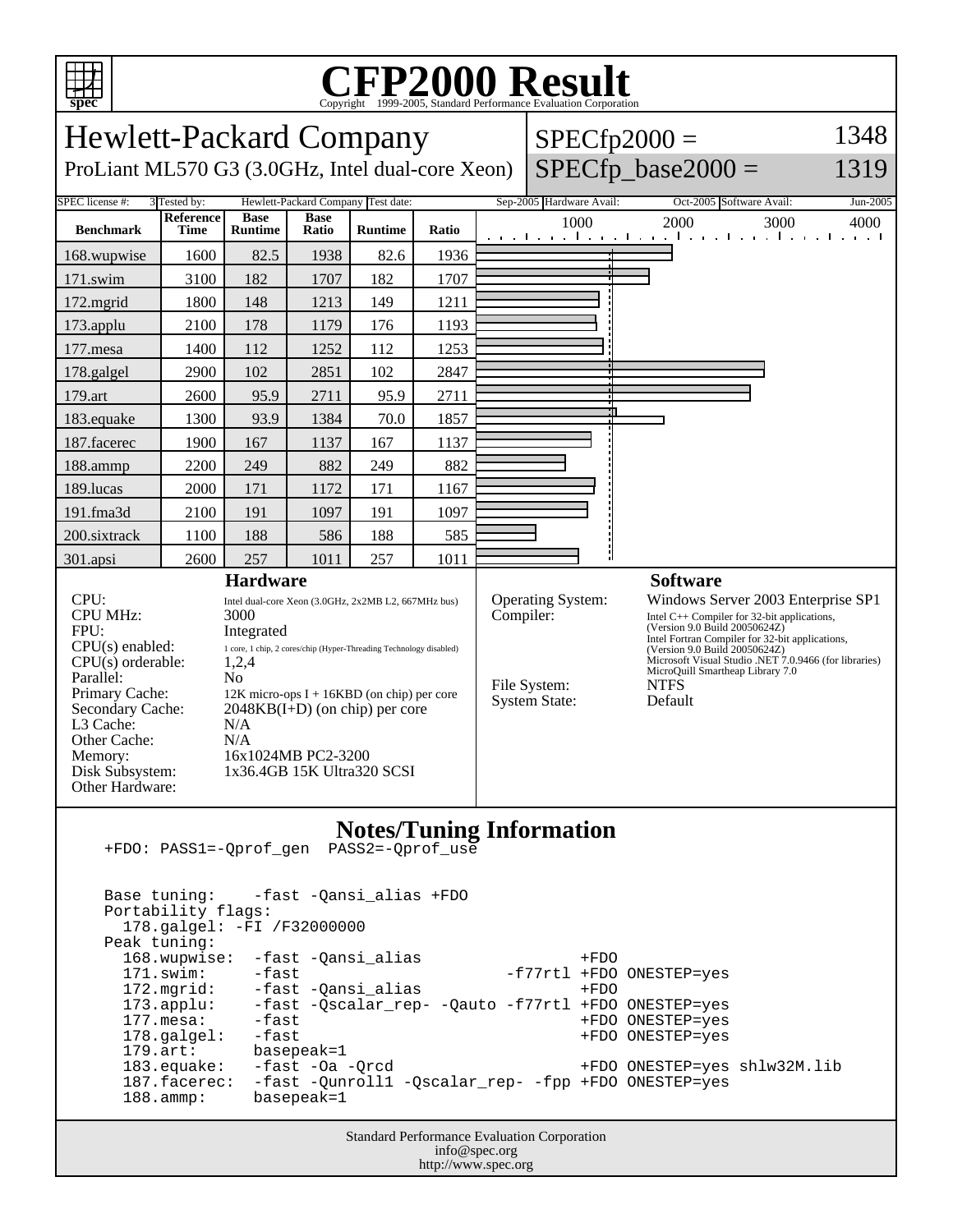

## C<sub>opyright</sub> ©1999-2005, Standard Performance Evaluation Corporation

| <b>Hewlett-Packard Company</b>                                                                                                                                                                                                                                                                                                                                                                 |      |                |       |                |       |           |                                                           | $SPECfp2000 =$                                                                                                                                                                                                                                                                                                                  | 1348             |
|------------------------------------------------------------------------------------------------------------------------------------------------------------------------------------------------------------------------------------------------------------------------------------------------------------------------------------------------------------------------------------------------|------|----------------|-------|----------------|-------|-----------|-----------------------------------------------------------|---------------------------------------------------------------------------------------------------------------------------------------------------------------------------------------------------------------------------------------------------------------------------------------------------------------------------------|------------------|
| $SPECfp\_base2000 =$<br>ProLiant ML570 G3 (3.0GHz, Intel dual-core Xeon)<br>1319                                                                                                                                                                                                                                                                                                               |      |                |       |                |       |           |                                                           |                                                                                                                                                                                                                                                                                                                                 |                  |
| <b>SPEC</b> license #:<br>3 Tested by:<br>Hewlett-Packard Company Test date:<br>Reference<br><b>Base</b><br><b>Base</b>                                                                                                                                                                                                                                                                        |      |                |       |                |       |           | Sep-2005 Hardware Avail:<br>1000                          | Oct-2005 Software Avail:<br>2000<br>3000                                                                                                                                                                                                                                                                                        | Jun-2005<br>4000 |
| <b>Benchmark</b>                                                                                                                                                                                                                                                                                                                                                                               | Time | <b>Runtime</b> | Ratio | <b>Runtime</b> | Ratio |           |                                                           | التعبيلين والمستمر المتعبين المتعب المتعب المتعب المتعب                                                                                                                                                                                                                                                                         |                  |
| 168.wupwise                                                                                                                                                                                                                                                                                                                                                                                    | 1600 | 82.5           | 1938  | 82.6           | 1936  |           |                                                           |                                                                                                                                                                                                                                                                                                                                 |                  |
| 171.swim                                                                                                                                                                                                                                                                                                                                                                                       | 3100 | 182            | 1707  | 182            | 1707  |           |                                                           |                                                                                                                                                                                                                                                                                                                                 |                  |
| 172.mgrid                                                                                                                                                                                                                                                                                                                                                                                      | 1800 | 148            | 1213  | 149            | 1211  |           |                                                           |                                                                                                                                                                                                                                                                                                                                 |                  |
| 173.applu                                                                                                                                                                                                                                                                                                                                                                                      | 2100 | 178            | 1179  | 176            | 1193  |           |                                                           |                                                                                                                                                                                                                                                                                                                                 |                  |
| 177.mesa                                                                                                                                                                                                                                                                                                                                                                                       | 1400 | 112            | 1252  | 112            | 1253  |           |                                                           |                                                                                                                                                                                                                                                                                                                                 |                  |
| 178.galgel                                                                                                                                                                                                                                                                                                                                                                                     | 2900 | 102            | 2851  | 102            | 2847  |           |                                                           |                                                                                                                                                                                                                                                                                                                                 |                  |
| 179.art                                                                                                                                                                                                                                                                                                                                                                                        | 2600 | 95.9           | 2711  | 95.9           | 2711  |           |                                                           |                                                                                                                                                                                                                                                                                                                                 |                  |
| 183.equake                                                                                                                                                                                                                                                                                                                                                                                     | 1300 | 93.9           | 1384  | 70.0           | 1857  |           |                                                           |                                                                                                                                                                                                                                                                                                                                 |                  |
| 187.facerec                                                                                                                                                                                                                                                                                                                                                                                    | 1900 | 167            | 1137  | 167            | 1137  |           |                                                           |                                                                                                                                                                                                                                                                                                                                 |                  |
| 188.ammp                                                                                                                                                                                                                                                                                                                                                                                       | 2200 | 249            | 882   | 249            | 882   |           |                                                           |                                                                                                                                                                                                                                                                                                                                 |                  |
| 189.lucas                                                                                                                                                                                                                                                                                                                                                                                      | 2000 | 171            | 1172  | 171            | 1167  |           |                                                           |                                                                                                                                                                                                                                                                                                                                 |                  |
| 191.fma3d                                                                                                                                                                                                                                                                                                                                                                                      | 2100 | 191            | 1097  | 191            | 1097  |           |                                                           |                                                                                                                                                                                                                                                                                                                                 |                  |
| 200.sixtrack                                                                                                                                                                                                                                                                                                                                                                                   | 1100 | 188            | 586   | 188            | 585   |           |                                                           |                                                                                                                                                                                                                                                                                                                                 |                  |
| 301.apsi                                                                                                                                                                                                                                                                                                                                                                                       | 2600 | 257            | 1011  | 257            | 1011  |           |                                                           |                                                                                                                                                                                                                                                                                                                                 |                  |
| <b>Hardware</b>                                                                                                                                                                                                                                                                                                                                                                                |      |                |       |                |       |           |                                                           | <b>Software</b>                                                                                                                                                                                                                                                                                                                 |                  |
| CPU:<br>Intel dual-core Xeon (3.0GHz, 2x2MB L2, 667MHz bus)<br><b>CPU MHz:</b><br>3000<br>FPU:<br>Integrated<br>CPU(s) enabled:<br>1 core, 1 chip, 2 cores/chip (Hyper-Threading Technology disabled)<br>$CPU(s)$ orderable:<br>1,2,4<br>Parallel:<br>N <sub>0</sub><br>Primary Cache:<br>$12K$ micro-ops I + 16KBD (on chip) per core<br>Secondary Cache:<br>$2048KB(I+D)$ (on chip) per core |      |                |       |                |       | Compiler: | Operating System:<br>File System:<br><b>System State:</b> | Windows Server 2003 Enterprise SP1<br>Intel $C++$ Compiler for 32-bit applications,<br>(Version 9.0 Build 20050624Z)<br>Intel Fortran Compiler for 32-bit applications,<br>(Version 9.0 Build 20050624Z)<br>Microsoft Visual Studio .NET 7.0.9466 (for libraries)<br>MicroQuill Smartheap Library 7.0<br><b>NTFS</b><br>Default |                  |
| L3 Cache:<br>N/A<br>Other Cache:<br>N/A<br>16x1024MB PC2-3200<br>Memory:<br>Disk Subsystem:<br>1x36.4GB 15K Ultra320 SCSI<br>Other Hardware:                                                                                                                                                                                                                                                   |      |                |       |                |       |           |                                                           |                                                                                                                                                                                                                                                                                                                                 |                  |
| <b>Notes/Tuning Information</b><br>Base tuning:<br>-fast -Qansi_alias +FDO<br>Portability flags:<br>178.galgel: -FI /F32000000                                                                                                                                                                                                                                                                 |      |                |       |                |       |           |                                                           |                                                                                                                                                                                                                                                                                                                                 |                  |

 Peak tuning: 168.wupwise: -fast -Qansi\_alias +FDO<br>171.swim: -fast -cansi\_alias -f77rtl +FDO -f77rtl +FDO ONESTEP=yes 171.swim: -fast -<br>172.mgrid: -fast -Qansi\_alias -f77rtl +FDO<br>173.applu: -fast -Qscalar\_rep- -Qauto -f77rtl +FDO 173.applu: -fast -Qscalar\_rep- -Qauto -f77rtl +FDO ONESTEP=yes 177.mesa: -fast +FDO ONESTEP=yes 178.galgel: -fast +FDO ONESTEP=yes<br>179.art: basepeak=1 basepeak=1 183.equake: -fast -Oa -Qrcd +FDO ONESTEP=yes shlw32M.lib 187.facerec: -fast -Qunroll1 -Qscalar\_rep- -fpp +FDO ONESTEP=yes 188.ammp: basepeak=1

> Standard Performance Evaluation Corporation info@spec.org http://www.spec.org